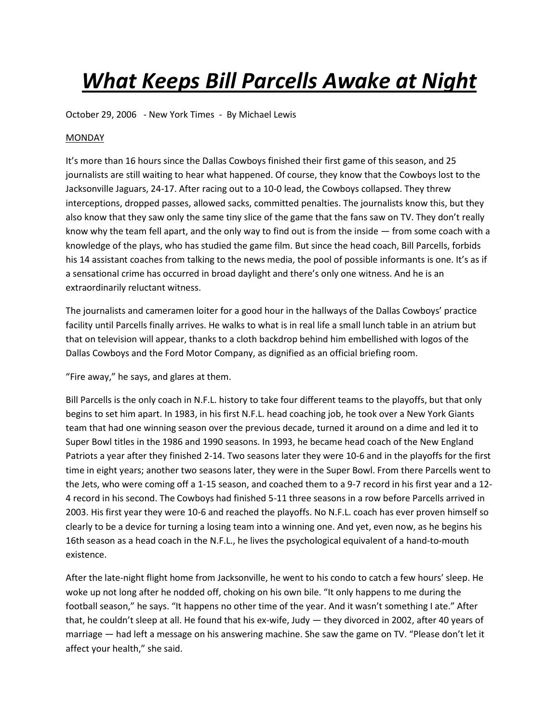# *What Keeps Bill Parcells Awake at Night*

October 29, 2006 - New York Times - By Michael Lewis

## **MONDAY**

It's more than 16 hours since the Dallas Cowboys finished their first game of this season, and 25 journalists are still waiting to hear what happened. Of course, they know that the Cowboys lost to the Jacksonville Jaguars, 24-17. After racing out to a 10-0 lead, the Cowboys collapsed. They threw interceptions, dropped passes, allowed sacks, committed penalties. The journalists know this, but they also know that they saw only the same tiny slice of the game that the fans saw on TV. They don't really know why the team fell apart, and the only way to find out is from the inside — from some coach with a knowledge of the plays, who has studied the game film. But since the head coach, Bill Parcells, forbids his 14 assistant coaches from talking to the news media, the pool of possible informants is one. It's as if a sensational crime has occurred in broad daylight and there's only one witness. And he is an extraordinarily reluctant witness.

The journalists and cameramen loiter for a good hour in the hallways of the Dallas Cowboys' practice facility until Parcells finally arrives. He walks to what is in real life a small lunch table in an atrium but that on television will appear, thanks to a cloth backdrop behind him embellished with logos of the Dallas Cowboys and the Ford Motor Company, as dignified as an official briefing room.

"Fire away," he says, and glares at them.

Bill Parcells is the only coach in N.F.L. history to take four different teams to the playoffs, but that only begins to set him apart. In 1983, in his first N.F.L. head coaching job, he took over a New York Giants team that had one winning season over the previous decade, turned it around on a dime and led it to Super Bowl titles in the 1986 and 1990 seasons. In 1993, he became head coach of the New England Patriots a year after they finished 2-14. Two seasons later they were 10-6 and in the playoffs for the first time in eight years; another two seasons later, they were in the Super Bowl. From there Parcells went to the Jets, who were coming off a 1-15 season, and coached them to a 9-7 record in his first year and a 12- 4 record in his second. The Cowboys had finished 5-11 three seasons in a row before Parcells arrived in 2003. His first year they were 10-6 and reached the playoffs. No N.F.L. coach has ever proven himself so clearly to be a device for turning a losing team into a winning one. And yet, even now, as he begins his 16th season as a head coach in the N.F.L., he lives the psychological equivalent of a hand-to-mouth existence.

After the late-night flight home from Jacksonville, he went to his condo to catch a few hours' sleep. He woke up not long after he nodded off, choking on his own bile. "It only happens to me during the football season," he says. "It happens no other time of the year. And it wasn't something I ate." After that, he couldn't sleep at all. He found that his ex-wife, Judy — they divorced in 2002, after 40 years of marriage — had left a message on his answering machine. She saw the game on TV. "Please don't let it affect your health," she said.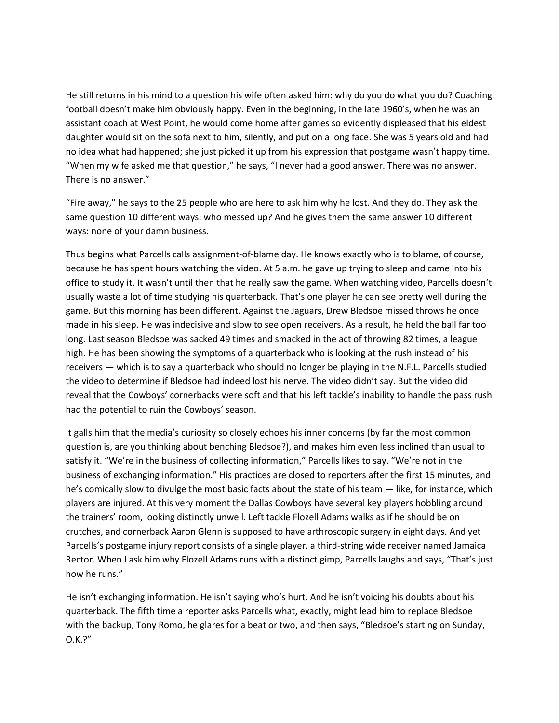He still returns in his mind to a question his wife often asked him: why do you do what you do? Coaching football doesn't make him obviously happy. Even in the beginning, in the late 1960's, when he was an assistant coach at West Point, he would come home after games so evidently displeased that his eldest daughter would sit on the sofa next to him, silently, and put on a long face. She was 5 years old and had no idea what had happened; she just picked it up from his expression that postgame wasn't happy time. "When my wife asked me that question," he says, "I never had a good answer. There was no answer. There is no answer."

"Fire away," he says to the 25 people who are here to ask him why he lost. And they do. They ask the same question 10 different ways: who messed up? And he gives them the same answer 10 different ways: none of your damn business.

Thus begins what Parcells calls assignment-of-blame day. He knows exactly who is to blame, of course, because he has spent hours watching the video. At 5 a.m. he gave up trying to sleep and came into his office to study it. It wasn't until then that he really saw the game. When watching video, Parcells doesn't usually waste a lot of time studying his quarterback. That's one player he can see pretty well during the game. But this morning has been different. Against the Jaguars, Drew Bledsoe missed throws he once made in his sleep. He was indecisive and slow to see open receivers. As a result, he held the ball far too long. Last season Bledsoe was sacked 49 times and smacked in the act of throwing 82 times, a league high. He has been showing the symptoms of a quarterback who is looking at the rush instead of his receivers — which is to say a quarterback who should no longer be playing in the N.F.L. Parcells studied the video to determine if Bledsoe had indeed lost his nerve. The video didn't say. But the video did reveal that the Cowboys' cornerbacks were soft and that his left tackle's inability to handle the pass rush had the potential to ruin the Cowboys' season.

It galls him that the media's curiosity so closely echoes his inner concerns (by far the most common question is, are you thinking about benching Bledsoe?), and makes him even less inclined than usual to satisfy it. "We're in the business of collecting information," Parcells likes to say. "We're not in the business of exchanging information." His practices are closed to reporters after the first 15 minutes, and he's comically slow to divulge the most basic facts about the state of his team — like, for instance, which players are injured. At this very moment the Dallas Cowboys have several key players hobbling around the trainers' room, looking distinctly unwell. Left tackle Flozell Adams walks as if he should be on crutches, and cornerback Aaron Glenn is supposed to have arthroscopic surgery in eight days. And yet Parcells's postgame injury report consists of a single player, a third-string wide receiver named Jamaica Rector. When I ask him why Flozell Adams runs with a distinct gimp, Parcells laughs and says, "That's just how he runs."

He isn't exchanging information. He isn't saying who's hurt. And he isn't voicing his doubts about his quarterback. The fifth time a reporter asks Parcells what, exactly, might lead him to replace Bledsoe with the backup, Tony Romo, he glares for a beat or two, and then says, "Bledsoe's starting on Sunday, O.K.?"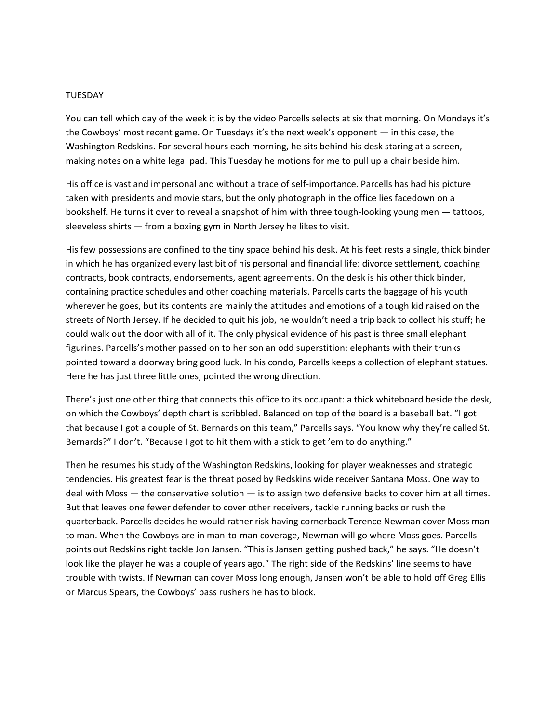## **TUESDAY**

You can tell which day of the week it is by the video Parcells selects at six that morning. On Mondays it's the Cowboys' most recent game. On Tuesdays it's the next week's opponent — in this case, the Washington Redskins. For several hours each morning, he sits behind his desk staring at a screen, making notes on a white legal pad. This Tuesday he motions for me to pull up a chair beside him.

His office is vast and impersonal and without a trace of self-importance. Parcells has had his picture taken with presidents and movie stars, but the only photograph in the office lies facedown on a bookshelf. He turns it over to reveal a snapshot of him with three tough-looking young men — tattoos, sleeveless shirts — from a boxing gym in North Jersey he likes to visit.

His few possessions are confined to the tiny space behind his desk. At his feet rests a single, thick binder in which he has organized every last bit of his personal and financial life: divorce settlement, coaching contracts, book contracts, endorsements, agent agreements. On the desk is his other thick binder, containing practice schedules and other coaching materials. Parcells carts the baggage of his youth wherever he goes, but its contents are mainly the attitudes and emotions of a tough kid raised on the streets of North Jersey. If he decided to quit his job, he wouldn't need a trip back to collect his stuff; he could walk out the door with all of it. The only physical evidence of his past is three small elephant figurines. Parcells's mother passed on to her son an odd superstition: elephants with their trunks pointed toward a doorway bring good luck. In his condo, Parcells keeps a collection of elephant statues. Here he has just three little ones, pointed the wrong direction.

There's just one other thing that connects this office to its occupant: a thick whiteboard beside the desk, on which the Cowboys' depth chart is scribbled. Balanced on top of the board is a baseball bat. "I got that because I got a couple of St. Bernards on this team," Parcells says. "You know why they're called St. Bernards?" I don't. "Because I got to hit them with a stick to get 'em to do anything."

Then he resumes his study of the Washington Redskins, looking for player weaknesses and strategic tendencies. His greatest fear is the threat posed by Redskins wide receiver Santana Moss. One way to deal with Moss  $-$  the conservative solution  $-$  is to assign two defensive backs to cover him at all times. But that leaves one fewer defender to cover other receivers, tackle running backs or rush the quarterback. Parcells decides he would rather risk having cornerback Terence Newman cover Moss man to man. When the Cowboys are in man-to-man coverage, Newman will go where Moss goes. Parcells points out Redskins right tackle Jon Jansen. "This is Jansen getting pushed back," he says. "He doesn't look like the player he was a couple of years ago." The right side of the Redskins' line seems to have trouble with twists. If Newman can cover Moss long enough, Jansen won't be able to hold off Greg Ellis or Marcus Spears, the Cowboys' pass rushers he has to block.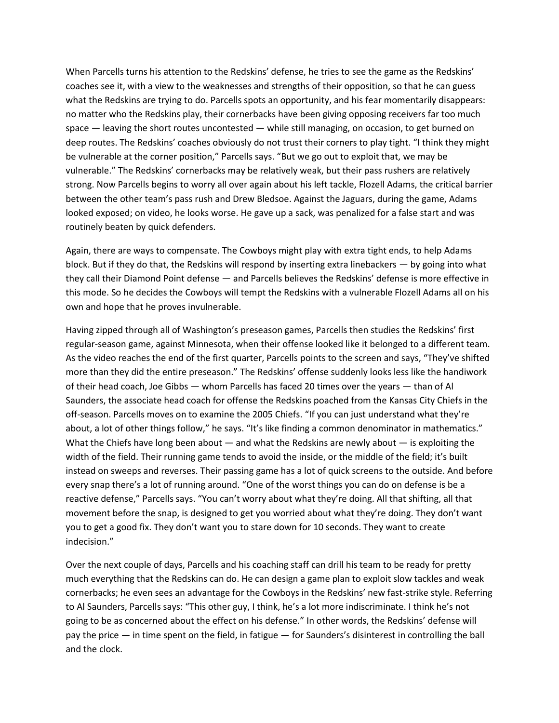When Parcells turns his attention to the Redskins' defense, he tries to see the game as the Redskins' coaches see it, with a view to the weaknesses and strengths of their opposition, so that he can guess what the Redskins are trying to do. Parcells spots an opportunity, and his fear momentarily disappears: no matter who the Redskins play, their cornerbacks have been giving opposing receivers far too much space — leaving the short routes uncontested — while still managing, on occasion, to get burned on deep routes. The Redskins' coaches obviously do not trust their corners to play tight. "I think they might be vulnerable at the corner position," Parcells says. "But we go out to exploit that, we may be vulnerable." The Redskins' cornerbacks may be relatively weak, but their pass rushers are relatively strong. Now Parcells begins to worry all over again about his left tackle, Flozell Adams, the critical barrier between the other team's pass rush and Drew Bledsoe. Against the Jaguars, during the game, Adams looked exposed; on video, he looks worse. He gave up a sack, was penalized for a false start and was routinely beaten by quick defenders.

Again, there are ways to compensate. The Cowboys might play with extra tight ends, to help Adams block. But if they do that, the Redskins will respond by inserting extra linebackers — by going into what they call their Diamond Point defense — and Parcells believes the Redskins' defense is more effective in this mode. So he decides the Cowboys will tempt the Redskins with a vulnerable Flozell Adams all on his own and hope that he proves invulnerable.

Having zipped through all of Washington's preseason games, Parcells then studies the Redskins' first regular-season game, against Minnesota, when their offense looked like it belonged to a different team. As the video reaches the end of the first quarter, Parcells points to the screen and says, "They've shifted more than they did the entire preseason." The Redskins' offense suddenly looks less like the handiwork of their head coach, Joe Gibbs — whom Parcells has faced 20 times over the years — than of Al Saunders, the associate head coach for offense the Redskins poached from the Kansas City Chiefs in the off-season. Parcells moves on to examine the 2005 Chiefs. "If you can just understand what they're about, a lot of other things follow," he says. "It's like finding a common denominator in mathematics." What the Chiefs have long been about  $-$  and what the Redskins are newly about  $-$  is exploiting the width of the field. Their running game tends to avoid the inside, or the middle of the field; it's built instead on sweeps and reverses. Their passing game has a lot of quick screens to the outside. And before every snap there's a lot of running around. "One of the worst things you can do on defense is be a reactive defense," Parcells says. "You can't worry about what they're doing. All that shifting, all that movement before the snap, is designed to get you worried about what they're doing. They don't want you to get a good fix. They don't want you to stare down for 10 seconds. They want to create indecision."

Over the next couple of days, Parcells and his coaching staff can drill his team to be ready for pretty much everything that the Redskins can do. He can design a game plan to exploit slow tackles and weak cornerbacks; he even sees an advantage for the Cowboys in the Redskins' new fast-strike style. Referring to Al Saunders, Parcells says: "This other guy, I think, he's a lot more indiscriminate. I think he's not going to be as concerned about the effect on his defense." In other words, the Redskins' defense will pay the price — in time spent on the field, in fatigue — for Saunders's disinterest in controlling the ball and the clock.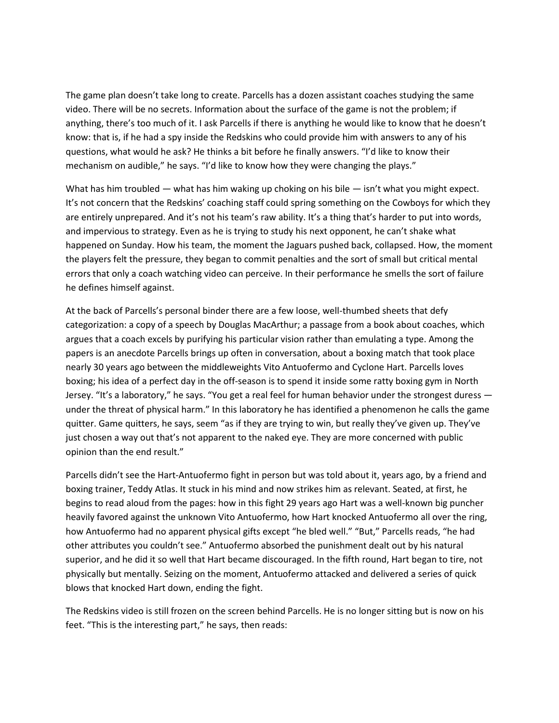The game plan doesn't take long to create. Parcells has a dozen assistant coaches studying the same video. There will be no secrets. Information about the surface of the game is not the problem; if anything, there's too much of it. I ask Parcells if there is anything he would like to know that he doesn't know: that is, if he had a spy inside the Redskins who could provide him with answers to any of his questions, what would he ask? He thinks a bit before he finally answers. "I'd like to know their mechanism on audible," he says. "I'd like to know how they were changing the plays."

What has him troubled — what has him waking up choking on his bile — isn't what you might expect. It's not concern that the Redskins' coaching staff could spring something on the Cowboys for which they are entirely unprepared. And it's not his team's raw ability. It's a thing that's harder to put into words, and impervious to strategy. Even as he is trying to study his next opponent, he can't shake what happened on Sunday. How his team, the moment the Jaguars pushed back, collapsed. How, the moment the players felt the pressure, they began to commit penalties and the sort of small but critical mental errors that only a coach watching video can perceive. In their performance he smells the sort of failure he defines himself against.

At the back of Parcells's personal binder there are a few loose, well-thumbed sheets that defy categorization: a copy of a speech by Douglas MacArthur; a passage from a book about coaches, which argues that a coach excels by purifying his particular vision rather than emulating a type. Among the papers is an anecdote Parcells brings up often in conversation, about a boxing match that took place nearly 30 years ago between the middleweights Vito Antuofermo and Cyclone Hart. Parcells loves boxing; his idea of a perfect day in the off-season is to spend it inside some ratty boxing gym in North Jersey. "It's a laboratory," he says. "You get a real feel for human behavior under the strongest duress under the threat of physical harm." In this laboratory he has identified a phenomenon he calls the game quitter. Game quitters, he says, seem "as if they are trying to win, but really they've given up. They've just chosen a way out that's not apparent to the naked eye. They are more concerned with public opinion than the end result."

Parcells didn't see the Hart-Antuofermo fight in person but was told about it, years ago, by a friend and boxing trainer, Teddy Atlas. It stuck in his mind and now strikes him as relevant. Seated, at first, he begins to read aloud from the pages: how in this fight 29 years ago Hart was a well-known big puncher heavily favored against the unknown Vito Antuofermo, how Hart knocked Antuofermo all over the ring, how Antuofermo had no apparent physical gifts except "he bled well." "But," Parcells reads, "he had other attributes you couldn't see." Antuofermo absorbed the punishment dealt out by his natural superior, and he did it so well that Hart became discouraged. In the fifth round, Hart began to tire, not physically but mentally. Seizing on the moment, Antuofermo attacked and delivered a series of quick blows that knocked Hart down, ending the fight.

The Redskins video is still frozen on the screen behind Parcells. He is no longer sitting but is now on his feet. "This is the interesting part," he says, then reads: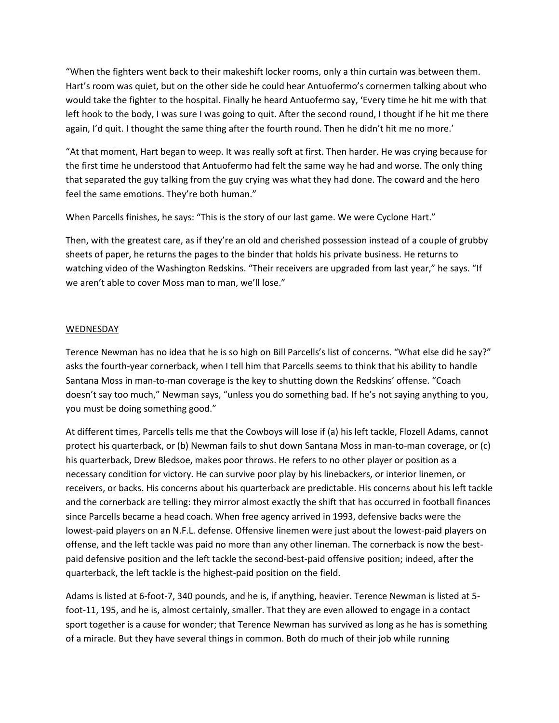"When the fighters went back to their makeshift locker rooms, only a thin curtain was between them. Hart's room was quiet, but on the other side he could hear Antuofermo's cornermen talking about who would take the fighter to the hospital. Finally he heard Antuofermo say, 'Every time he hit me with that left hook to the body, I was sure I was going to quit. After the second round, I thought if he hit me there again, I'd quit. I thought the same thing after the fourth round. Then he didn't hit me no more.'

"At that moment, Hart began to weep. It was really soft at first. Then harder. He was crying because for the first time he understood that Antuofermo had felt the same way he had and worse. The only thing that separated the guy talking from the guy crying was what they had done. The coward and the hero feel the same emotions. They're both human."

When Parcells finishes, he says: "This is the story of our last game. We were Cyclone Hart."

Then, with the greatest care, as if they're an old and cherished possession instead of a couple of grubby sheets of paper, he returns the pages to the binder that holds his private business. He returns to watching video of the Washington Redskins. "Their receivers are upgraded from last year," he says. "If we aren't able to cover Moss man to man, we'll lose."

## WEDNESDAY

Terence Newman has no idea that he is so high on Bill Parcells's list of concerns. "What else did he say?" asks the fourth-year cornerback, when I tell him that Parcells seems to think that his ability to handle Santana Moss in man-to-man coverage is the key to shutting down the Redskins' offense. "Coach doesn't say too much," Newman says, "unless you do something bad. If he's not saying anything to you, you must be doing something good."

At different times, Parcells tells me that the Cowboys will lose if (a) his left tackle, Flozell Adams, cannot protect his quarterback, or (b) Newman fails to shut down Santana Moss in man-to-man coverage, or (c) his quarterback, Drew Bledsoe, makes poor throws. He refers to no other player or position as a necessary condition for victory. He can survive poor play by his linebackers, or interior linemen, or receivers, or backs. His concerns about his quarterback are predictable. His concerns about his left tackle and the cornerback are telling: they mirror almost exactly the shift that has occurred in football finances since Parcells became a head coach. When free agency arrived in 1993, defensive backs were the lowest-paid players on an N.F.L. defense. Offensive linemen were just about the lowest-paid players on offense, and the left tackle was paid no more than any other lineman. The cornerback is now the bestpaid defensive position and the left tackle the second-best-paid offensive position; indeed, after the quarterback, the left tackle is the highest-paid position on the field.

Adams is listed at 6-foot-7, 340 pounds, and he is, if anything, heavier. Terence Newman is listed at 5 foot-11, 195, and he is, almost certainly, smaller. That they are even allowed to engage in a contact sport together is a cause for wonder; that Terence Newman has survived as long as he has is something of a miracle. But they have several things in common. Both do much of their job while running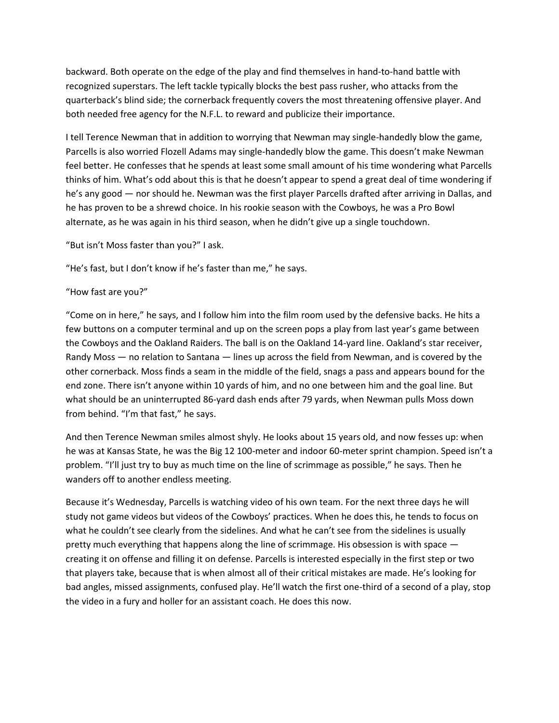backward. Both operate on the edge of the play and find themselves in hand-to-hand battle with recognized superstars. The left tackle typically blocks the best pass rusher, who attacks from the quarterback's blind side; the cornerback frequently covers the most threatening offensive player. And both needed free agency for the N.F.L. to reward and publicize their importance.

I tell Terence Newman that in addition to worrying that Newman may single-handedly blow the game, Parcells is also worried Flozell Adams may single-handedly blow the game. This doesn't make Newman feel better. He confesses that he spends at least some small amount of his time wondering what Parcells thinks of him. What's odd about this is that he doesn't appear to spend a great deal of time wondering if he's any good — nor should he. Newman was the first player Parcells drafted after arriving in Dallas, and he has proven to be a shrewd choice. In his rookie season with the Cowboys, he was a Pro Bowl alternate, as he was again in his third season, when he didn't give up a single touchdown.

"But isn't Moss faster than you?" I ask.

"He's fast, but I don't know if he's faster than me," he says.

"How fast are you?"

"Come on in here," he says, and I follow him into the film room used by the defensive backs. He hits a few buttons on a computer terminal and up on the screen pops a play from last year's game between the Cowboys and the Oakland Raiders. The ball is on the Oakland 14-yard line. Oakland's star receiver, Randy Moss — no relation to Santana — lines up across the field from Newman, and is covered by the other cornerback. Moss finds a seam in the middle of the field, snags a pass and appears bound for the end zone. There isn't anyone within 10 yards of him, and no one between him and the goal line. But what should be an uninterrupted 86-yard dash ends after 79 yards, when Newman pulls Moss down from behind. "I'm that fast," he says.

And then Terence Newman smiles almost shyly. He looks about 15 years old, and now fesses up: when he was at Kansas State, he was the Big 12 100-meter and indoor 60-meter sprint champion. Speed isn't a problem. "I'll just try to buy as much time on the line of scrimmage as possible," he says. Then he wanders off to another endless meeting.

Because it's Wednesday, Parcells is watching video of his own team. For the next three days he will study not game videos but videos of the Cowboys' practices. When he does this, he tends to focus on what he couldn't see clearly from the sidelines. And what he can't see from the sidelines is usually pretty much everything that happens along the line of scrimmage. His obsession is with space creating it on offense and filling it on defense. Parcells is interested especially in the first step or two that players take, because that is when almost all of their critical mistakes are made. He's looking for bad angles, missed assignments, confused play. He'll watch the first one-third of a second of a play, stop the video in a fury and holler for an assistant coach. He does this now.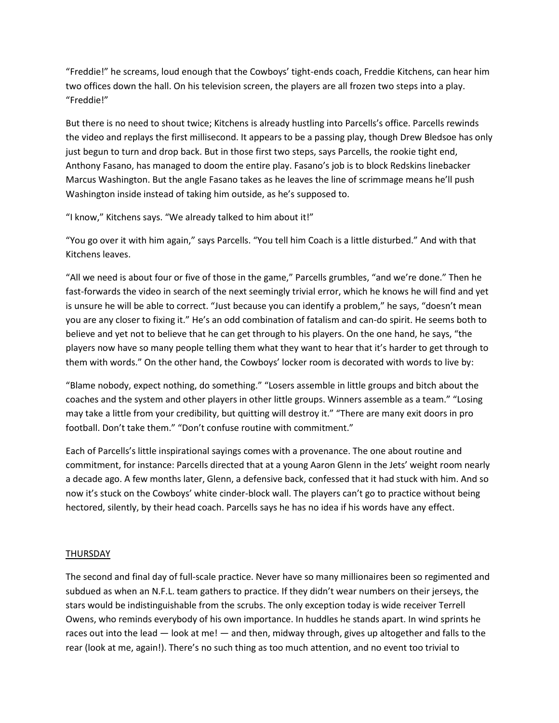"Freddie!" he screams, loud enough that the Cowboys' tight-ends coach, Freddie Kitchens, can hear him two offices down the hall. On his television screen, the players are all frozen two steps into a play. "Freddie!"

But there is no need to shout twice; Kitchens is already hustling into Parcells's office. Parcells rewinds the video and replays the first millisecond. It appears to be a passing play, though Drew Bledsoe has only just begun to turn and drop back. But in those first two steps, says Parcells, the rookie tight end, Anthony Fasano, has managed to doom the entire play. Fasano's job is to block Redskins linebacker Marcus Washington. But the angle Fasano takes as he leaves the line of scrimmage means he'll push Washington inside instead of taking him outside, as he's supposed to.

"I know," Kitchens says. "We already talked to him about it!"

"You go over it with him again," says Parcells. "You tell him Coach is a little disturbed." And with that Kitchens leaves.

"All we need is about four or five of those in the game," Parcells grumbles, "and we're done." Then he fast-forwards the video in search of the next seemingly trivial error, which he knows he will find and yet is unsure he will be able to correct. "Just because you can identify a problem," he says, "doesn't mean you are any closer to fixing it." He's an odd combination of fatalism and can-do spirit. He seems both to believe and yet not to believe that he can get through to his players. On the one hand, he says, "the players now have so many people telling them what they want to hear that it's harder to get through to them with words." On the other hand, the Cowboys' locker room is decorated with words to live by:

"Blame nobody, expect nothing, do something." "Losers assemble in little groups and bitch about the coaches and the system and other players in other little groups. Winners assemble as a team." "Losing may take a little from your credibility, but quitting will destroy it." "There are many exit doors in pro football. Don't take them." "Don't confuse routine with commitment."

Each of Parcells's little inspirational sayings comes with a provenance. The one about routine and commitment, for instance: Parcells directed that at a young Aaron Glenn in the Jets' weight room nearly a decade ago. A few months later, Glenn, a defensive back, confessed that it had stuck with him. And so now it's stuck on the Cowboys' white cinder-block wall. The players can't go to practice without being hectored, silently, by their head coach. Parcells says he has no idea if his words have any effect.

## THURSDAY

The second and final day of full-scale practice. Never have so many millionaires been so regimented and subdued as when an N.F.L. team gathers to practice. If they didn't wear numbers on their jerseys, the stars would be indistinguishable from the scrubs. The only exception today is wide receiver Terrell Owens, who reminds everybody of his own importance. In huddles he stands apart. In wind sprints he races out into the lead – look at me! – and then, midway through, gives up altogether and falls to the rear (look at me, again!). There's no such thing as too much attention, and no event too trivial to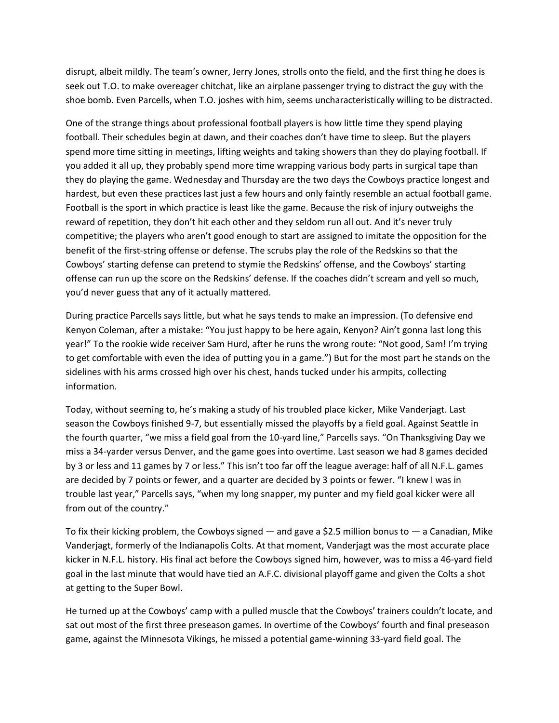disrupt, albeit mildly. The team's owner, Jerry Jones, strolls onto the field, and the first thing he does is seek out T.O. to make overeager chitchat, like an airplane passenger trying to distract the guy with the shoe bomb. Even Parcells, when T.O. joshes with him, seems uncharacteristically willing to be distracted.

One of the strange things about professional football players is how little time they spend playing football. Their schedules begin at dawn, and their coaches don't have time to sleep. But the players spend more time sitting in meetings, lifting weights and taking showers than they do playing football. If you added it all up, they probably spend more time wrapping various body parts in surgical tape than they do playing the game. Wednesday and Thursday are the two days the Cowboys practice longest and hardest, but even these practices last just a few hours and only faintly resemble an actual football game. Football is the sport in which practice is least like the game. Because the risk of injury outweighs the reward of repetition, they don't hit each other and they seldom run all out. And it's never truly competitive; the players who aren't good enough to start are assigned to imitate the opposition for the benefit of the first-string offense or defense. The scrubs play the role of the Redskins so that the Cowboys' starting defense can pretend to stymie the Redskins' offense, and the Cowboys' starting offense can run up the score on the Redskins' defense. If the coaches didn't scream and yell so much, you'd never guess that any of it actually mattered.

During practice Parcells says little, but what he says tends to make an impression. (To defensive end Kenyon Coleman, after a mistake: "You just happy to be here again, Kenyon? Ain't gonna last long this year!" To the rookie wide receiver Sam Hurd, after he runs the wrong route: "Not good, Sam! I'm trying to get comfortable with even the idea of putting you in a game.") But for the most part he stands on the sidelines with his arms crossed high over his chest, hands tucked under his armpits, collecting information.

Today, without seeming to, he's making a study of his troubled place kicker, Mike Vanderjagt. Last season the Cowboys finished 9-7, but essentially missed the playoffs by a field goal. Against Seattle in the fourth quarter, "we miss a field goal from the 10-yard line," Parcells says. "On Thanksgiving Day we miss a 34-yarder versus Denver, and the game goes into overtime. Last season we had 8 games decided by 3 or less and 11 games by 7 or less." This isn't too far off the league average: half of all N.F.L. games are decided by 7 points or fewer, and a quarter are decided by 3 points or fewer. "I knew I was in trouble last year," Parcells says, "when my long snapper, my punter and my field goal kicker were all from out of the country."

To fix their kicking problem, the Cowboys signed  $-$  and gave a \$2.5 million bonus to  $-$  a Canadian, Mike Vanderjagt, formerly of the Indianapolis Colts. At that moment, Vanderjagt was the most accurate place kicker in N.F.L. history. His final act before the Cowboys signed him, however, was to miss a 46-yard field goal in the last minute that would have tied an A.F.C. divisional playoff game and given the Colts a shot at getting to the Super Bowl.

He turned up at the Cowboys' camp with a pulled muscle that the Cowboys' trainers couldn't locate, and sat out most of the first three preseason games. In overtime of the Cowboys' fourth and final preseason game, against the Minnesota Vikings, he missed a potential game-winning 33-yard field goal. The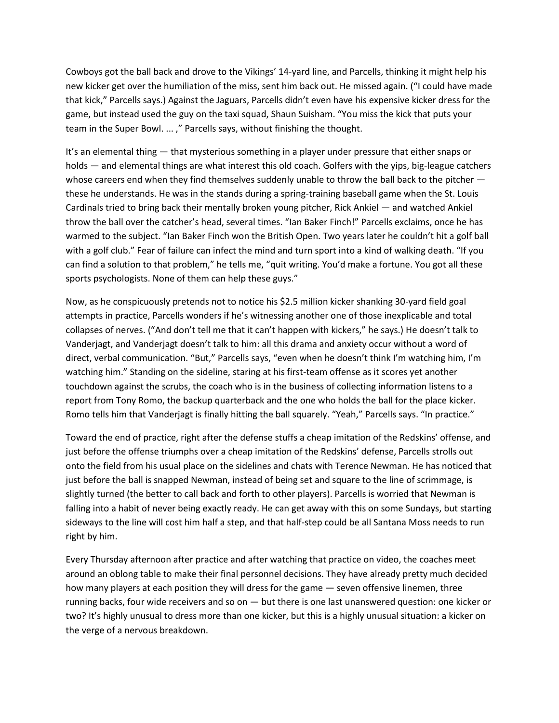Cowboys got the ball back and drove to the Vikings' 14-yard line, and Parcells, thinking it might help his new kicker get over the humiliation of the miss, sent him back out. He missed again. ("I could have made that kick," Parcells says.) Against the Jaguars, Parcells didn't even have his expensive kicker dress for the game, but instead used the guy on the taxi squad, Shaun Suisham. "You miss the kick that puts your team in the Super Bowl. ... ," Parcells says, without finishing the thought.

It's an elemental thing — that mysterious something in a player under pressure that either snaps or holds — and elemental things are what interest this old coach. Golfers with the yips, big-league catchers whose careers end when they find themselves suddenly unable to throw the ball back to the pitcher  $$ these he understands. He was in the stands during a spring-training baseball game when the St. Louis Cardinals tried to bring back their mentally broken young pitcher, Rick Ankiel — and watched Ankiel throw the ball over the catcher's head, several times. "Ian Baker Finch!" Parcells exclaims, once he has warmed to the subject. "Ian Baker Finch won the British Open. Two years later he couldn't hit a golf ball with a golf club." Fear of failure can infect the mind and turn sport into a kind of walking death. "If you can find a solution to that problem," he tells me, "quit writing. You'd make a fortune. You got all these sports psychologists. None of them can help these guys."

Now, as he conspicuously pretends not to notice his \$2.5 million kicker shanking 30-yard field goal attempts in practice, Parcells wonders if he's witnessing another one of those inexplicable and total collapses of nerves. ("And don't tell me that it can't happen with kickers," he says.) He doesn't talk to Vanderjagt, and Vanderjagt doesn't talk to him: all this drama and anxiety occur without a word of direct, verbal communication. "But," Parcells says, "even when he doesn't think I'm watching him, I'm watching him." Standing on the sideline, staring at his first-team offense as it scores yet another touchdown against the scrubs, the coach who is in the business of collecting information listens to a report from Tony Romo, the backup quarterback and the one who holds the ball for the place kicker. Romo tells him that Vanderjagt is finally hitting the ball squarely. "Yeah," Parcells says. "In practice."

Toward the end of practice, right after the defense stuffs a cheap imitation of the Redskins' offense, and just before the offense triumphs over a cheap imitation of the Redskins' defense, Parcells strolls out onto the field from his usual place on the sidelines and chats with Terence Newman. He has noticed that just before the ball is snapped Newman, instead of being set and square to the line of scrimmage, is slightly turned (the better to call back and forth to other players). Parcells is worried that Newman is falling into a habit of never being exactly ready. He can get away with this on some Sundays, but starting sideways to the line will cost him half a step, and that half-step could be all Santana Moss needs to run right by him.

Every Thursday afternoon after practice and after watching that practice on video, the coaches meet around an oblong table to make their final personnel decisions. They have already pretty much decided how many players at each position they will dress for the game — seven offensive linemen, three running backs, four wide receivers and so on — but there is one last unanswered question: one kicker or two? It's highly unusual to dress more than one kicker, but this is a highly unusual situation: a kicker on the verge of a nervous breakdown.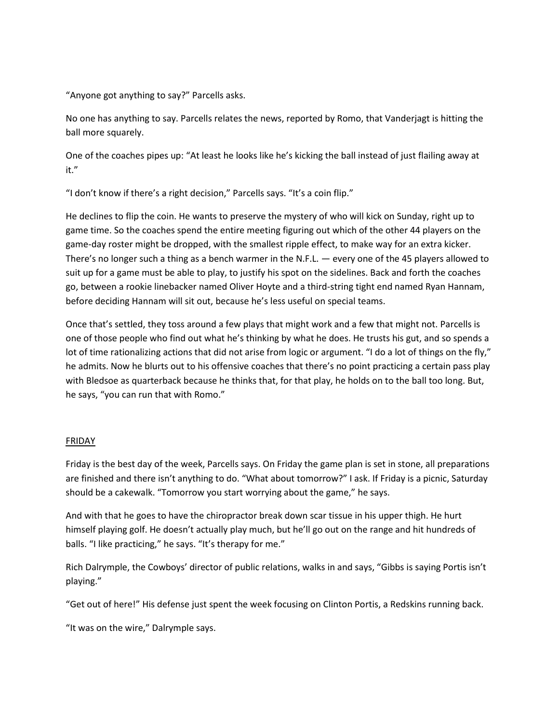"Anyone got anything to say?" Parcells asks.

No one has anything to say. Parcells relates the news, reported by Romo, that Vanderjagt is hitting the ball more squarely.

One of the coaches pipes up: "At least he looks like he's kicking the ball instead of just flailing away at it."

"I don't know if there's a right decision," Parcells says. "It's a coin flip."

He declines to flip the coin. He wants to preserve the mystery of who will kick on Sunday, right up to game time. So the coaches spend the entire meeting figuring out which of the other 44 players on the game-day roster might be dropped, with the smallest ripple effect, to make way for an extra kicker. There's no longer such a thing as a bench warmer in the N.F.L. — every one of the 45 players allowed to suit up for a game must be able to play, to justify his spot on the sidelines. Back and forth the coaches go, between a rookie linebacker named Oliver Hoyte and a third-string tight end named Ryan Hannam, before deciding Hannam will sit out, because he's less useful on special teams.

Once that's settled, they toss around a few plays that might work and a few that might not. Parcells is one of those people who find out what he's thinking by what he does. He trusts his gut, and so spends a lot of time rationalizing actions that did not arise from logic or argument. "I do a lot of things on the fly," he admits. Now he blurts out to his offensive coaches that there's no point practicing a certain pass play with Bledsoe as quarterback because he thinks that, for that play, he holds on to the ball too long. But, he says, "you can run that with Romo."

## **FRIDAY**

Friday is the best day of the week, Parcells says. On Friday the game plan is set in stone, all preparations are finished and there isn't anything to do. "What about tomorrow?" I ask. If Friday is a picnic, Saturday should be a cakewalk. "Tomorrow you start worrying about the game," he says.

And with that he goes to have the chiropractor break down scar tissue in his upper thigh. He hurt himself playing golf. He doesn't actually play much, but he'll go out on the range and hit hundreds of balls. "I like practicing," he says. "It's therapy for me."

Rich Dalrymple, the Cowboys' director of public relations, walks in and says, "Gibbs is saying Portis isn't playing."

"Get out of here!" His defense just spent the week focusing on Clinton Portis, a Redskins running back.

"It was on the wire," Dalrymple says.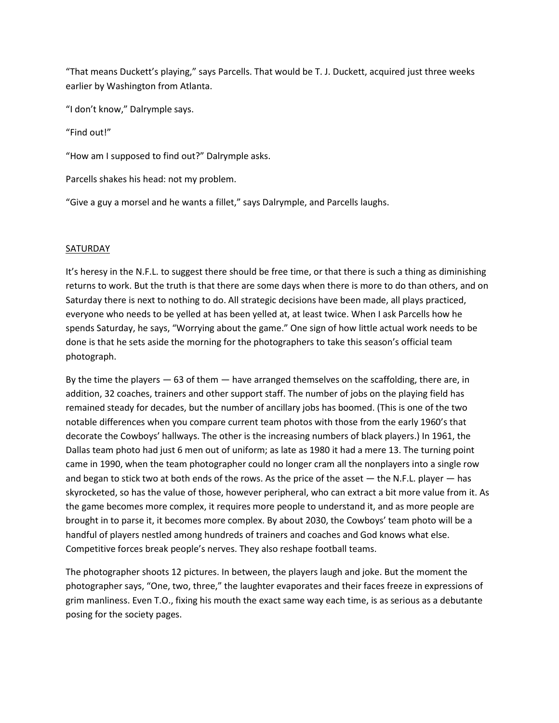"That means Duckett's playing," says Parcells. That would be T. J. Duckett, acquired just three weeks earlier by Washington from Atlanta.

"I don't know," Dalrymple says.

"Find out!"

"How am I supposed to find out?" Dalrymple asks.

Parcells shakes his head: not my problem.

"Give a guy a morsel and he wants a fillet," says Dalrymple, and Parcells laughs.

## **SATURDAY**

It's heresy in the N.F.L. to suggest there should be free time, or that there is such a thing as diminishing returns to work. But the truth is that there are some days when there is more to do than others, and on Saturday there is next to nothing to do. All strategic decisions have been made, all plays practiced, everyone who needs to be yelled at has been yelled at, at least twice. When I ask Parcells how he spends Saturday, he says, "Worrying about the game." One sign of how little actual work needs to be done is that he sets aside the morning for the photographers to take this season's official team photograph.

By the time the players  $-63$  of them  $-$  have arranged themselves on the scaffolding, there are, in addition, 32 coaches, trainers and other support staff. The number of jobs on the playing field has remained steady for decades, but the number of ancillary jobs has boomed. (This is one of the two notable differences when you compare current team photos with those from the early 1960's that decorate the Cowboys' hallways. The other is the increasing numbers of black players.) In 1961, the Dallas team photo had just 6 men out of uniform; as late as 1980 it had a mere 13. The turning point came in 1990, when the team photographer could no longer cram all the nonplayers into a single row and began to stick two at both ends of the rows. As the price of the asset — the N.F.L. player — has skyrocketed, so has the value of those, however peripheral, who can extract a bit more value from it. As the game becomes more complex, it requires more people to understand it, and as more people are brought in to parse it, it becomes more complex. By about 2030, the Cowboys' team photo will be a handful of players nestled among hundreds of trainers and coaches and God knows what else. Competitive forces break people's nerves. They also reshape football teams.

The photographer shoots 12 pictures. In between, the players laugh and joke. But the moment the photographer says, "One, two, three," the laughter evaporates and their faces freeze in expressions of grim manliness. Even T.O., fixing his mouth the exact same way each time, is as serious as a debutante posing for the society pages.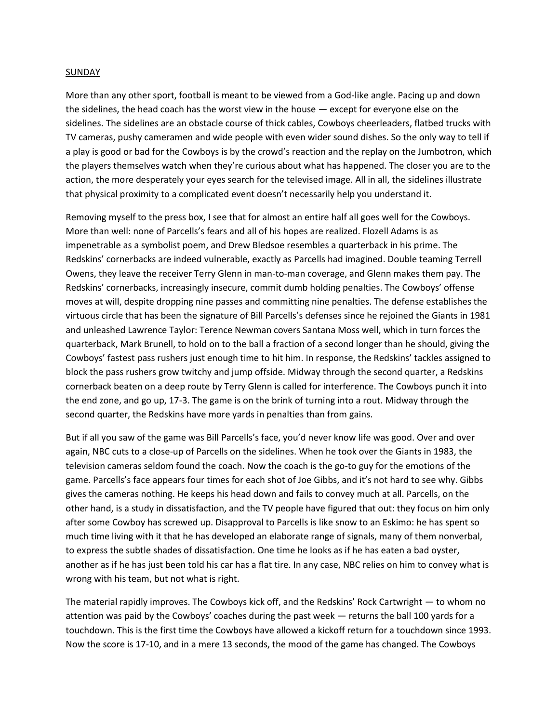#### SUNDAY

More than any other sport, football is meant to be viewed from a God-like angle. Pacing up and down the sidelines, the head coach has the worst view in the house — except for everyone else on the sidelines. The sidelines are an obstacle course of thick cables, Cowboys cheerleaders, flatbed trucks with TV cameras, pushy cameramen and wide people with even wider sound dishes. So the only way to tell if a play is good or bad for the Cowboys is by the crowd's reaction and the replay on the Jumbotron, which the players themselves watch when they're curious about what has happened. The closer you are to the action, the more desperately your eyes search for the televised image. All in all, the sidelines illustrate that physical proximity to a complicated event doesn't necessarily help you understand it.

Removing myself to the press box, I see that for almost an entire half all goes well for the Cowboys. More than well: none of Parcells's fears and all of his hopes are realized. Flozell Adams is as impenetrable as a symbolist poem, and Drew Bledsoe resembles a quarterback in his prime. The Redskins' cornerbacks are indeed vulnerable, exactly as Parcells had imagined. Double teaming Terrell Owens, they leave the receiver Terry Glenn in man-to-man coverage, and Glenn makes them pay. The Redskins' cornerbacks, increasingly insecure, commit dumb holding penalties. The Cowboys' offense moves at will, despite dropping nine passes and committing nine penalties. The defense establishes the virtuous circle that has been the signature of Bill Parcells's defenses since he rejoined the Giants in 1981 and unleashed Lawrence Taylor: Terence Newman covers Santana Moss well, which in turn forces the quarterback, Mark Brunell, to hold on to the ball a fraction of a second longer than he should, giving the Cowboys' fastest pass rushers just enough time to hit him. In response, the Redskins' tackles assigned to block the pass rushers grow twitchy and jump offside. Midway through the second quarter, a Redskins cornerback beaten on a deep route by Terry Glenn is called for interference. The Cowboys punch it into the end zone, and go up, 17-3. The game is on the brink of turning into a rout. Midway through the second quarter, the Redskins have more yards in penalties than from gains.

But if all you saw of the game was Bill Parcells's face, you'd never know life was good. Over and over again, NBC cuts to a close-up of Parcells on the sidelines. When he took over the Giants in 1983, the television cameras seldom found the coach. Now the coach is the go-to guy for the emotions of the game. Parcells's face appears four times for each shot of Joe Gibbs, and it's not hard to see why. Gibbs gives the cameras nothing. He keeps his head down and fails to convey much at all. Parcells, on the other hand, is a study in dissatisfaction, and the TV people have figured that out: they focus on him only after some Cowboy has screwed up. Disapproval to Parcells is like snow to an Eskimo: he has spent so much time living with it that he has developed an elaborate range of signals, many of them nonverbal, to express the subtle shades of dissatisfaction. One time he looks as if he has eaten a bad oyster, another as if he has just been told his car has a flat tire. In any case, NBC relies on him to convey what is wrong with his team, but not what is right.

The material rapidly improves. The Cowboys kick off, and the Redskins' Rock Cartwright — to whom no attention was paid by the Cowboys' coaches during the past week — returns the ball 100 yards for a touchdown. This is the first time the Cowboys have allowed a kickoff return for a touchdown since 1993. Now the score is 17-10, and in a mere 13 seconds, the mood of the game has changed. The Cowboys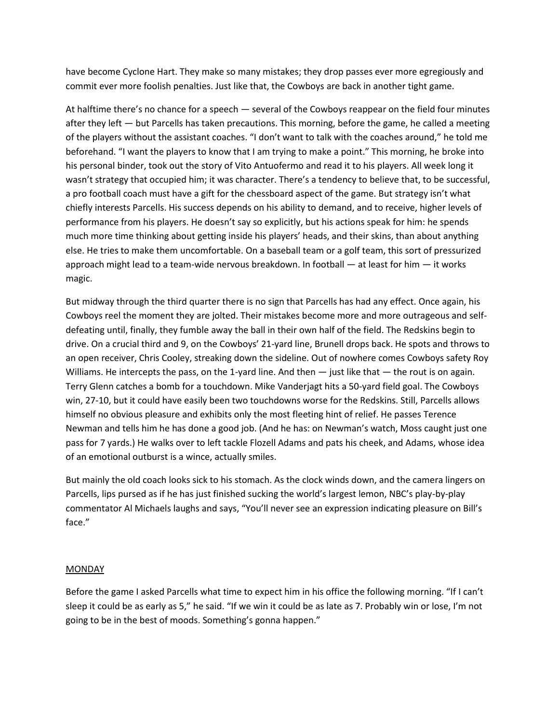have become Cyclone Hart. They make so many mistakes; they drop passes ever more egregiously and commit ever more foolish penalties. Just like that, the Cowboys are back in another tight game.

At halftime there's no chance for a speech — several of the Cowboys reappear on the field four minutes after they left — but Parcells has taken precautions. This morning, before the game, he called a meeting of the players without the assistant coaches. "I don't want to talk with the coaches around," he told me beforehand. "I want the players to know that I am trying to make a point." This morning, he broke into his personal binder, took out the story of Vito Antuofermo and read it to his players. All week long it wasn't strategy that occupied him; it was character. There's a tendency to believe that, to be successful, a pro football coach must have a gift for the chessboard aspect of the game. But strategy isn't what chiefly interests Parcells. His success depends on his ability to demand, and to receive, higher levels of performance from his players. He doesn't say so explicitly, but his actions speak for him: he spends much more time thinking about getting inside his players' heads, and their skins, than about anything else. He tries to make them uncomfortable. On a baseball team or a golf team, this sort of pressurized approach might lead to a team-wide nervous breakdown. In football  $-$  at least for him  $-$  it works magic.

But midway through the third quarter there is no sign that Parcells has had any effect. Once again, his Cowboys reel the moment they are jolted. Their mistakes become more and more outrageous and selfdefeating until, finally, they fumble away the ball in their own half of the field. The Redskins begin to drive. On a crucial third and 9, on the Cowboys' 21-yard line, Brunell drops back. He spots and throws to an open receiver, Chris Cooley, streaking down the sideline. Out of nowhere comes Cowboys safety Roy Williams. He intercepts the pass, on the 1-yard line. And then — just like that — the rout is on again. Terry Glenn catches a bomb for a touchdown. Mike Vanderjagt hits a 50-yard field goal. The Cowboys win, 27-10, but it could have easily been two touchdowns worse for the Redskins. Still, Parcells allows himself no obvious pleasure and exhibits only the most fleeting hint of relief. He passes Terence Newman and tells him he has done a good job. (And he has: on Newman's watch, Moss caught just one pass for 7 yards.) He walks over to left tackle Flozell Adams and pats his cheek, and Adams, whose idea of an emotional outburst is a wince, actually smiles.

But mainly the old coach looks sick to his stomach. As the clock winds down, and the camera lingers on Parcells, lips pursed as if he has just finished sucking the world's largest lemon, NBC's play-by-play commentator Al Michaels laughs and says, "You'll never see an expression indicating pleasure on Bill's face."

## MONDAY

Before the game I asked Parcells what time to expect him in his office the following morning. "If I can't sleep it could be as early as 5," he said. "If we win it could be as late as 7. Probably win or lose, I'm not going to be in the best of moods. Something's gonna happen."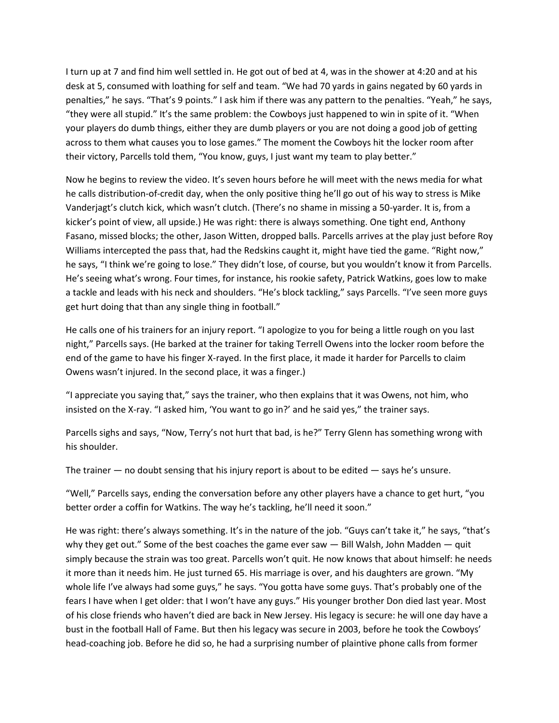I turn up at 7 and find him well settled in. He got out of bed at 4, was in the shower at 4:20 and at his desk at 5, consumed with loathing for self and team. "We had 70 yards in gains negated by 60 yards in penalties," he says. "That's 9 points." I ask him if there was any pattern to the penalties. "Yeah," he says, "they were all stupid." It's the same problem: the Cowboys just happened to win in spite of it. "When your players do dumb things, either they are dumb players or you are not doing a good job of getting across to them what causes you to lose games." The moment the Cowboys hit the locker room after their victory, Parcells told them, "You know, guys, I just want my team to play better."

Now he begins to review the video. It's seven hours before he will meet with the news media for what he calls distribution-of-credit day, when the only positive thing he'll go out of his way to stress is Mike Vanderjagt's clutch kick, which wasn't clutch. (There's no shame in missing a 50-yarder. It is, from a kicker's point of view, all upside.) He was right: there is always something. One tight end, Anthony Fasano, missed blocks; the other, Jason Witten, dropped balls. Parcells arrives at the play just before Roy Williams intercepted the pass that, had the Redskins caught it, might have tied the game. "Right now," he says, "I think we're going to lose." They didn't lose, of course, but you wouldn't know it from Parcells. He's seeing what's wrong. Four times, for instance, his rookie safety, Patrick Watkins, goes low to make a tackle and leads with his neck and shoulders. "He's block tackling," says Parcells. "I've seen more guys get hurt doing that than any single thing in football."

He calls one of his trainers for an injury report. "I apologize to you for being a little rough on you last night," Parcells says. (He barked at the trainer for taking Terrell Owens into the locker room before the end of the game to have his finger X-rayed. In the first place, it made it harder for Parcells to claim Owens wasn't injured. In the second place, it was a finger.)

"I appreciate you saying that," says the trainer, who then explains that it was Owens, not him, who insisted on the X-ray. "I asked him, 'You want to go in?' and he said yes," the trainer says.

Parcells sighs and says, "Now, Terry's not hurt that bad, is he?" Terry Glenn has something wrong with his shoulder.

The trainer  $-$  no doubt sensing that his injury report is about to be edited  $-$  says he's unsure.

"Well," Parcells says, ending the conversation before any other players have a chance to get hurt, "you better order a coffin for Watkins. The way he's tackling, he'll need it soon."

He was right: there's always something. It's in the nature of the job. "Guys can't take it," he says, "that's why they get out." Some of the best coaches the game ever saw — Bill Walsh, John Madden — quit simply because the strain was too great. Parcells won't quit. He now knows that about himself: he needs it more than it needs him. He just turned 65. His marriage is over, and his daughters are grown. "My whole life I've always had some guys," he says. "You gotta have some guys. That's probably one of the fears I have when I get older: that I won't have any guys." His younger brother Don died last year. Most of his close friends who haven't died are back in New Jersey. His legacy is secure: he will one day have a bust in the football Hall of Fame. But then his legacy was secure in 2003, before he took the Cowboys' head-coaching job. Before he did so, he had a surprising number of plaintive phone calls from former